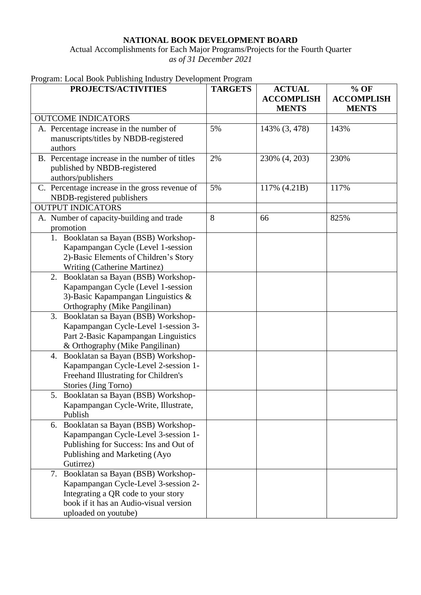## **NATIONAL BOOK DEVELOPMENT BOARD**

Actual Accomplishments for Each Major Programs/Projects for the Fourth Quarter *as of 31 December 2021*

|  | Program: Local Book Publishing Industry Development Program |  |  |
|--|-------------------------------------------------------------|--|--|
|  |                                                             |  |  |

| PROJECTS/ACTIVITIES                                                   | <b>TARGETS</b> | <b>ACTUAL</b>                     | $%$ OF                            |
|-----------------------------------------------------------------------|----------------|-----------------------------------|-----------------------------------|
|                                                                       |                | <b>ACCOMPLISH</b><br><b>MENTS</b> | <b>ACCOMPLISH</b><br><b>MENTS</b> |
| <b>OUTCOME INDICATORS</b>                                             |                |                                   |                                   |
| A. Percentage increase in the number of                               | 5%             | 143% (3, 478)                     | 143%                              |
| manuscripts/titles by NBDB-registered                                 |                |                                   |                                   |
| authors                                                               |                |                                   |                                   |
| B. Percentage increase in the number of titles                        | 2%             | 230% (4, 203)                     | 230%                              |
| published by NBDB-registered                                          |                |                                   |                                   |
| authors/publishers                                                    |                |                                   |                                   |
| C. Percentage increase in the gross revenue of                        | 5%             | 117% (4.21B)                      | 117%                              |
| NBDB-registered publishers                                            |                |                                   |                                   |
| <b>OUTPUT INDICATORS</b>                                              |                |                                   |                                   |
| A. Number of capacity-building and trade                              | 8              | 66                                | 825%                              |
| promotion                                                             |                |                                   |                                   |
| 1. Booklatan sa Bayan (BSB) Workshop-                                 |                |                                   |                                   |
| Kapampangan Cycle (Level 1-session                                    |                |                                   |                                   |
| 2)-Basic Elements of Children's Story<br>Writing (Catherine Martinez) |                |                                   |                                   |
| Booklatan sa Bayan (BSB) Workshop-<br>2.                              |                |                                   |                                   |
| Kapampangan Cycle (Level 1-session                                    |                |                                   |                                   |
| 3)-Basic Kapampangan Linguistics $\&$                                 |                |                                   |                                   |
| Orthography (Mike Pangilinan)                                         |                |                                   |                                   |
| Booklatan sa Bayan (BSB) Workshop-<br>3.                              |                |                                   |                                   |
| Kapampangan Cycle-Level 1-session 3-                                  |                |                                   |                                   |
| Part 2-Basic Kapampangan Linguistics                                  |                |                                   |                                   |
| & Orthography (Mike Pangilinan)                                       |                |                                   |                                   |
| Booklatan sa Bayan (BSB) Workshop-<br>4.                              |                |                                   |                                   |
| Kapampangan Cycle-Level 2-session 1-                                  |                |                                   |                                   |
| Freehand Illustrating for Children's                                  |                |                                   |                                   |
| Stories (Jing Torno)                                                  |                |                                   |                                   |
| 5. Booklatan sa Bayan (BSB) Workshop-                                 |                |                                   |                                   |
| Kapampangan Cycle-Write, Illustrate,                                  |                |                                   |                                   |
| Publish                                                               |                |                                   |                                   |
| 6. Booklatan sa Bayan (BSB) Workshop-                                 |                |                                   |                                   |
| Kapampangan Cycle-Level 3-session 1-                                  |                |                                   |                                   |
| Publishing for Success: Ins and Out of                                |                |                                   |                                   |
| Publishing and Marketing (Ayo                                         |                |                                   |                                   |
| Gutirrez)                                                             |                |                                   |                                   |
| Booklatan sa Bayan (BSB) Workshop-<br>7.                              |                |                                   |                                   |
| Kapampangan Cycle-Level 3-session 2-                                  |                |                                   |                                   |
| Integrating a QR code to your story                                   |                |                                   |                                   |
| book if it has an Audio-visual version                                |                |                                   |                                   |
| uploaded on youtube)                                                  |                |                                   |                                   |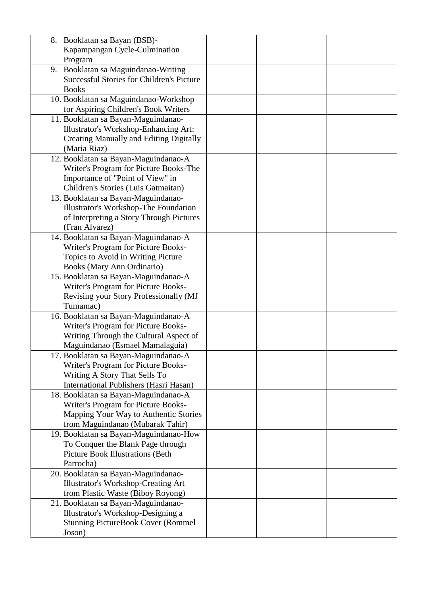| 8. Booklatan sa Bayan (BSB)-                     |  |  |
|--------------------------------------------------|--|--|
| Kapampangan Cycle-Culmination                    |  |  |
| Program                                          |  |  |
| 9. Booklatan sa Maguindanao-Writing              |  |  |
| <b>Successful Stories for Children's Picture</b> |  |  |
| <b>Books</b>                                     |  |  |
| 10. Booklatan sa Maguindanao-Workshop            |  |  |
| for Aspiring Children's Book Writers             |  |  |
| 11. Booklatan sa Bayan-Maguindanao-              |  |  |
| Illustrator's Workshop-Enhancing Art:            |  |  |
| <b>Creating Manually and Editing Digitally</b>   |  |  |
| (Maria Riaz)                                     |  |  |
|                                                  |  |  |
| 12. Booklatan sa Bayan-Maguindanao-A             |  |  |
| Writer's Program for Picture Books-The           |  |  |
| Importance of "Point of View" in                 |  |  |
| Children's Stories (Luis Gatmaitan)              |  |  |
| 13. Booklatan sa Bayan-Maguindanao-              |  |  |
| Illustrator's Workshop-The Foundation            |  |  |
| of Interpreting a Story Through Pictures         |  |  |
| (Fran Alvarez)                                   |  |  |
| 14. Booklatan sa Bayan-Maguindanao-A             |  |  |
| Writer's Program for Picture Books-              |  |  |
| Topics to Avoid in Writing Picture               |  |  |
| Books (Mary Ann Ordinario)                       |  |  |
| 15. Booklatan sa Bayan-Maguindanao-A             |  |  |
| Writer's Program for Picture Books-              |  |  |
| Revising your Story Professionally (MJ           |  |  |
| Tumamac)                                         |  |  |
| 16. Booklatan sa Bayan-Maguindanao-A             |  |  |
| Writer's Program for Picture Books-              |  |  |
| Writing Through the Cultural Aspect of           |  |  |
| Maguindanao (Esmael Mamalaguia)                  |  |  |
| 17. Booklatan sa Bayan-Maguindanao-A             |  |  |
| Writer's Program for Picture Books-              |  |  |
| Writing A Story That Sells To                    |  |  |
| International Publishers (Hasri Hasan)           |  |  |
| 18. Booklatan sa Bayan-Maguindanao-A             |  |  |
| Writer's Program for Picture Books-              |  |  |
| Mapping Your Way to Authentic Stories            |  |  |
| from Maguindanao (Mubarak Tahir)                 |  |  |
| 19. Booklatan sa Bayan-Maguindanao-How           |  |  |
| To Conquer the Blank Page through                |  |  |
| <b>Picture Book Illustrations (Beth</b>          |  |  |
| Parrocha)                                        |  |  |
| 20. Booklatan sa Bayan-Maguindanao-              |  |  |
| <b>Illustrator's Workshop-Creating Art</b>       |  |  |
| from Plastic Waste (Biboy Royong)                |  |  |
| 21. Booklatan sa Bayan-Maguindanao-              |  |  |
| Illustrator's Workshop-Designing a               |  |  |
| <b>Stunning PictureBook Cover (Rommel</b>        |  |  |
| Joson)                                           |  |  |
|                                                  |  |  |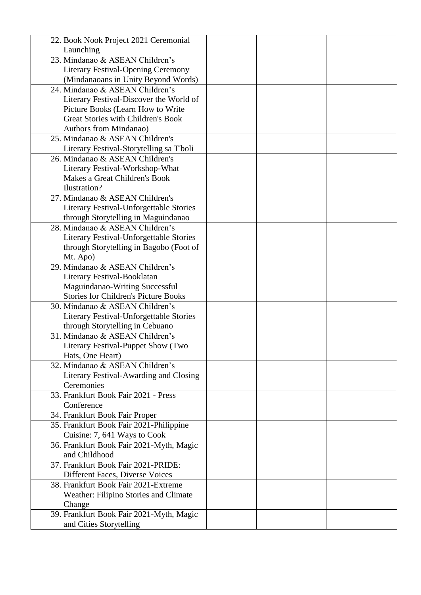| 22. Book Nook Project 2021 Ceremonial       |  |
|---------------------------------------------|--|
| Launching                                   |  |
| 23. Mindanao & ASEAN Children's             |  |
| <b>Literary Festival-Opening Ceremony</b>   |  |
| (Mindanaoans in Unity Beyond Words)         |  |
| 24. Mindanao & ASEAN Children's             |  |
| Literary Festival-Discover the World of     |  |
| Picture Books (Learn How to Write           |  |
| <b>Great Stories with Children's Book</b>   |  |
| Authors from Mindanao)                      |  |
| 25. Mindanao & ASEAN Children's             |  |
| Literary Festival-Storytelling sa T'boli    |  |
| 26. Mindanao & ASEAN Children's             |  |
| Literary Festival-Workshop-What             |  |
| Makes a Great Children's Book               |  |
| Ilustration?                                |  |
| 27. Mindanao & ASEAN Children's             |  |
| Literary Festival-Unforgettable Stories     |  |
| through Storytelling in Maguindanao         |  |
| 28. Mindanao & ASEAN Children's             |  |
| Literary Festival-Unforgettable Stories     |  |
| through Storytelling in Bagobo (Foot of     |  |
| Mt. Apo)                                    |  |
| 29. Mindanao & ASEAN Children's             |  |
| Literary Festival-Booklatan                 |  |
| Maguindanao-Writing Successful              |  |
| <b>Stories for Children's Picture Books</b> |  |
| 30. Mindanao & ASEAN Children's             |  |
| Literary Festival-Unforgettable Stories     |  |
| through Storytelling in Cebuano             |  |
| 31. Mindanao & ASEAN Children's             |  |
| Literary Festival-Puppet Show (Two          |  |
| Hats, One Heart)                            |  |
| 32. Mindanao & ASEAN Children's             |  |
| Literary Festival-Awarding and Closing      |  |
| Ceremonies                                  |  |
| 33. Frankfurt Book Fair 2021 - Press        |  |
| Conference                                  |  |
| 34. Frankfurt Book Fair Proper              |  |
| 35. Frankfurt Book Fair 2021-Philippine     |  |
| Cuisine: 7, 641 Ways to Cook                |  |
| 36. Frankfurt Book Fair 2021-Myth, Magic    |  |
| and Childhood                               |  |
| 37. Frankfurt Book Fair 2021-PRIDE:         |  |
| Different Faces, Diverse Voices             |  |
| 38. Frankfurt Book Fair 2021-Extreme        |  |
| Weather: Filipino Stories and Climate       |  |
| Change                                      |  |
| 39. Frankfurt Book Fair 2021-Myth, Magic    |  |
| and Cities Storytelling                     |  |
|                                             |  |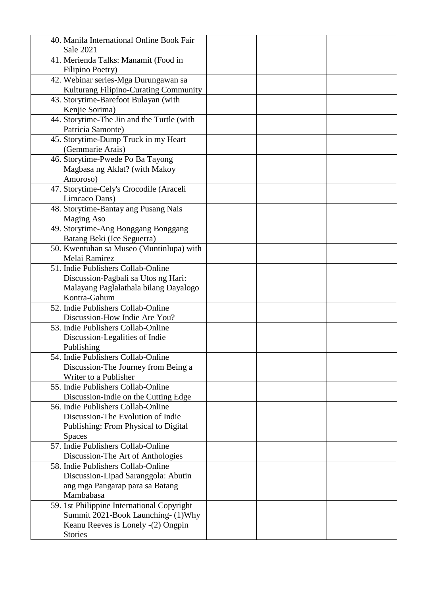| 40. Manila International Online Book Fair             |  |
|-------------------------------------------------------|--|
| <b>Sale 2021</b>                                      |  |
| 41. Merienda Talks: Manamit (Food in                  |  |
| Filipino Poetry)                                      |  |
| 42. Webinar series-Mga Durungawan sa                  |  |
| Kulturang Filipino-Curating Community                 |  |
| 43. Storytime-Barefoot Bulayan (with                  |  |
| Kenjie Sorima)                                        |  |
| 44. Storytime-The Jin and the Turtle (with            |  |
| Patricia Samonte)                                     |  |
| 45. Storytime-Dump Truck in my Heart                  |  |
| (Gemmarie Arais)                                      |  |
| 46. Storytime-Pwede Po Ba Tayong                      |  |
| Magbasa ng Aklat? (with Makoy                         |  |
| Amoroso)                                              |  |
| 47. Storytime-Cely's Crocodile (Araceli               |  |
| Limcaco Dans)                                         |  |
| 48. Storytime-Bantay ang Pusang Nais                  |  |
| <b>Maging Aso</b>                                     |  |
| 49. Storytime-Ang Bonggang Bonggang                   |  |
| Batang Beki (Ice Seguerra)                            |  |
| 50. Kwentuhan sa Museo (Muntinlupa) with              |  |
| Melai Ramirez                                         |  |
| 51. Indie Publishers Collab-Online                    |  |
| Discussion-Pagbali sa Utos ng Hari:                   |  |
| Malayang Paglalathala bilang Dayalogo<br>Kontra-Gahum |  |
| 52. Indie Publishers Collab-Online                    |  |
| Discussion-How Indie Are You?                         |  |
| 53. Indie Publishers Collab-Online                    |  |
| Discussion-Legalities of Indie                        |  |
| Publishing                                            |  |
| 54. Indie Publishers Collab-Online                    |  |
| Discussion-The Journey from Being a                   |  |
| Writer to a Publisher                                 |  |
| 55. Indie Publishers Collab-Online                    |  |
| Discussion-Indie on the Cutting Edge                  |  |
| 56. Indie Publishers Collab-Online                    |  |
| Discussion-The Evolution of Indie                     |  |
| Publishing: From Physical to Digital                  |  |
| <b>Spaces</b>                                         |  |
| 57. Indie Publishers Collab-Online                    |  |
| Discussion-The Art of Anthologies                     |  |
| 58. Indie Publishers Collab-Online                    |  |
| Discussion-Lipad Saranggola: Abutin                   |  |
| ang mga Pangarap para sa Batang                       |  |
| Mambabasa                                             |  |
| 59. 1st Philippine International Copyright            |  |
| Summit 2021-Book Launching- (1)Why                    |  |
| Keanu Reeves is Lonely -(2) Ongpin                    |  |
| <b>Stories</b>                                        |  |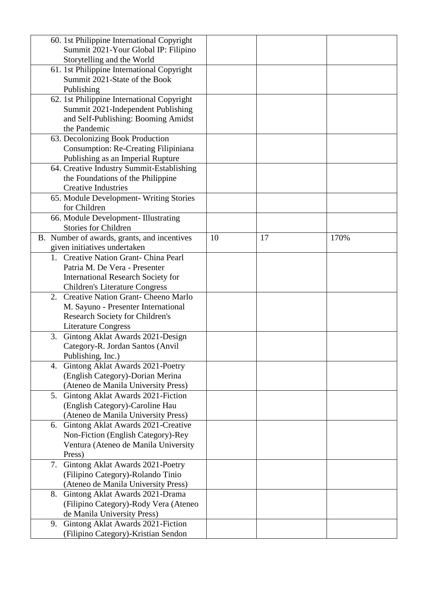| 60. 1st Philippine International Copyright       |    |    |      |
|--------------------------------------------------|----|----|------|
| Summit 2021-Your Global IP: Filipino             |    |    |      |
| Storytelling and the World                       |    |    |      |
| 61. 1st Philippine International Copyright       |    |    |      |
| Summit 2021-State of the Book                    |    |    |      |
| Publishing                                       |    |    |      |
| 62. 1st Philippine International Copyright       |    |    |      |
| Summit 2021-Independent Publishing               |    |    |      |
| and Self-Publishing: Booming Amidst              |    |    |      |
| the Pandemic                                     |    |    |      |
| 63. Decolonizing Book Production                 |    |    |      |
| Consumption: Re-Creating Filipiniana             |    |    |      |
| Publishing as an Imperial Rupture                |    |    |      |
| 64. Creative Industry Summit-Establishing        |    |    |      |
| the Foundations of the Philippine                |    |    |      |
| <b>Creative Industries</b>                       |    |    |      |
| 65. Module Development- Writing Stories          |    |    |      |
| for Children                                     |    |    |      |
| 66. Module Development- Illustrating             |    |    |      |
| <b>Stories for Children</b>                      |    |    |      |
| B. Number of awards, grants, and incentives      | 10 | 17 | 170% |
| given initiatives undertaken                     |    |    |      |
| 1. Creative Nation Grant- China Pearl            |    |    |      |
| Patria M. De Vera - Presenter                    |    |    |      |
| <b>International Research Society for</b>        |    |    |      |
| <b>Children's Literature Congress</b>            |    |    |      |
| <b>Creative Nation Grant- Cheeno Marlo</b><br>2. |    |    |      |
| M. Sayuno - Presenter International              |    |    |      |
| <b>Research Society for Children's</b>           |    |    |      |
| <b>Literature Congress</b>                       |    |    |      |
| 3. Gintong Aklat Awards 2021-Design              |    |    |      |
| Category-R. Jordan Santos (Anvil                 |    |    |      |
| Publishing, Inc.)                                |    |    |      |
| 4. Gintong Aklat Awards 2021-Poetry              |    |    |      |
| (English Category)-Dorian Merina                 |    |    |      |
| (Ateneo de Manila University Press)              |    |    |      |
| 5. Gintong Aklat Awards 2021-Fiction             |    |    |      |
| (English Category)-Caroline Hau                  |    |    |      |
| (Ateneo de Manila University Press)              |    |    |      |
| 6. Gintong Aklat Awards 2021-Creative            |    |    |      |
| Non-Fiction (English Category)-Rey               |    |    |      |
| Ventura (Ateneo de Manila University             |    |    |      |
| Press)                                           |    |    |      |
| 7. Gintong Aklat Awards 2021-Poetry              |    |    |      |
| (Filipino Category)-Rolando Tinio                |    |    |      |
| (Ateneo de Manila University Press)              |    |    |      |
| 8. Gintong Aklat Awards 2021-Drama               |    |    |      |
| (Filipino Category)-Rody Vera (Ateneo            |    |    |      |
| de Manila University Press)                      |    |    |      |
| 9. Gintong Aklat Awards 2021-Fiction             |    |    |      |
| (Filipino Category)-Kristian Sendon              |    |    |      |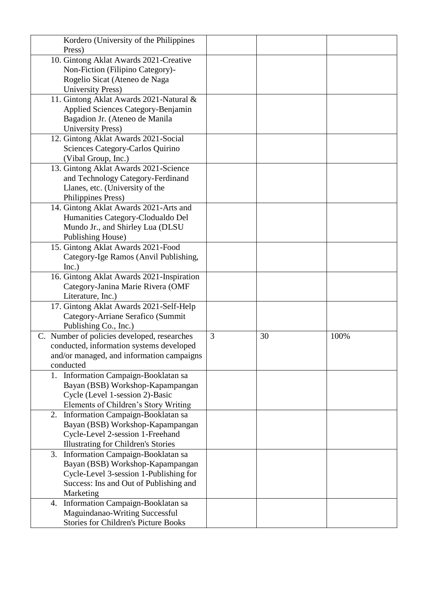| Kordero (University of the Philippines                                        |   |    |      |
|-------------------------------------------------------------------------------|---|----|------|
| Press)                                                                        |   |    |      |
| 10. Gintong Aklat Awards 2021-Creative                                        |   |    |      |
| Non-Fiction (Filipino Category)-                                              |   |    |      |
| Rogelio Sicat (Ateneo de Naga                                                 |   |    |      |
| <b>University Press)</b>                                                      |   |    |      |
| 11. Gintong Aklat Awards 2021-Natural &                                       |   |    |      |
| Applied Sciences Category-Benjamin                                            |   |    |      |
| Bagadion Jr. (Ateneo de Manila                                                |   |    |      |
| <b>University Press)</b>                                                      |   |    |      |
| 12. Gintong Aklat Awards 2021-Social                                          |   |    |      |
| Sciences Category-Carlos Quirino                                              |   |    |      |
| (Vibal Group, Inc.)                                                           |   |    |      |
| 13. Gintong Aklat Awards 2021-Science                                         |   |    |      |
| and Technology Category-Ferdinand                                             |   |    |      |
| Llanes, etc. (University of the                                               |   |    |      |
| Philippines Press)                                                            |   |    |      |
| 14. Gintong Aklat Awards 2021-Arts and                                        |   |    |      |
| Humanities Category-Clodualdo Del                                             |   |    |      |
| Mundo Jr., and Shirley Lua (DLSU                                              |   |    |      |
| Publishing House)                                                             |   |    |      |
| 15. Gintong Aklat Awards 2021-Food                                            |   |    |      |
| Category-Ige Ramos (Anvil Publishing,                                         |   |    |      |
| Inc.)                                                                         |   |    |      |
| 16. Gintong Aklat Awards 2021-Inspiration                                     |   |    |      |
| Category-Janina Marie Rivera (OMF                                             |   |    |      |
| Literature, Inc.)                                                             |   |    |      |
| 17. Gintong Aklat Awards 2021-Self-Help                                       |   |    |      |
| Category-Arriane Serafico (Summit                                             |   |    |      |
| Publishing Co., Inc.)                                                         |   |    |      |
| C. Number of policies developed, researches                                   | 3 | 30 | 100% |
| conducted, information systems developed                                      |   |    |      |
| and/or managed, and information campaigns                                     |   |    |      |
| conducted                                                                     |   |    |      |
| 1. Information Campaign-Booklatan sa                                          |   |    |      |
| Bayan (BSB) Workshop-Kapampangan                                              |   |    |      |
| Cycle (Level 1-session 2)-Basic                                               |   |    |      |
| Elements of Children's Story Writing                                          |   |    |      |
| 2. Information Campaign-Booklatan sa                                          |   |    |      |
| Bayan (BSB) Workshop-Kapampangan                                              |   |    |      |
| Cycle-Level 2-session 1-Freehand                                              |   |    |      |
| <b>Illustrating for Children's Stories</b>                                    |   |    |      |
| Information Campaign-Booklatan sa<br>3.                                       |   |    |      |
| Bayan (BSB) Workshop-Kapampangan                                              |   |    |      |
| Cycle-Level 3-session 1-Publishing for                                        |   |    |      |
| Success: Ins and Out of Publishing and                                        |   |    |      |
| Marketing                                                                     |   |    |      |
| 4. Information Campaign-Booklatan sa                                          |   |    |      |
| Maguindanao-Writing Successful<br><b>Stories for Children's Picture Books</b> |   |    |      |
|                                                                               |   |    |      |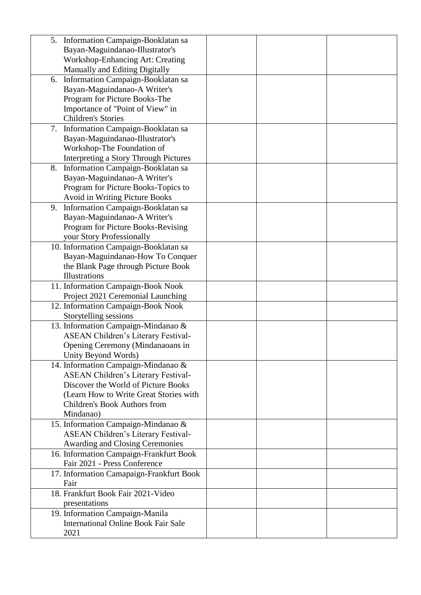| 5. Information Campaign-Booklatan sa       |  |
|--------------------------------------------|--|
| Bayan-Maguindanao-Illustrator's            |  |
| <b>Workshop-Enhancing Art: Creating</b>    |  |
| Manually and Editing Digitally             |  |
| Information Campaign-Booklatan sa<br>6.    |  |
| Bayan-Maguindanao-A Writer's               |  |
| Program for Picture Books-The              |  |
| Importance of "Point of View" in           |  |
| <b>Children's Stories</b>                  |  |
| Information Campaign-Booklatan sa<br>7.    |  |
| Bayan-Maguindanao-Illustrator's            |  |
| Workshop-The Foundation of                 |  |
| Interpreting a Story Through Pictures      |  |
| 8. Information Campaign-Booklatan sa       |  |
| Bayan-Maguindanao-A Writer's               |  |
| Program for Picture Books-Topics to        |  |
| Avoid in Writing Picture Books             |  |
| Information Campaign-Booklatan sa<br>9.    |  |
| Bayan-Maguindanao-A Writer's               |  |
|                                            |  |
| Program for Picture Books-Revising         |  |
| your Story Professionally                  |  |
| 10. Information Campaign-Booklatan sa      |  |
| Bayan-Maguindanao-How To Conquer           |  |
| the Blank Page through Picture Book        |  |
| <b>Illustrations</b>                       |  |
| 11. Information Campaign-Book Nook         |  |
| Project 2021 Ceremonial Launching          |  |
| 12. Information Campaign-Book Nook         |  |
| Storytelling sessions                      |  |
| 13. Information Campaign-Mindanao &        |  |
| ASEAN Children's Literary Festival-        |  |
| Opening Ceremony (Mindanaoans in           |  |
| Unity Beyond Words)                        |  |
| 14. Information Campaign-Mindanao &        |  |
| ASEAN Children's Literary Festival-        |  |
| Discover the World of Picture Books        |  |
| (Learn How to Write Great Stories with     |  |
| Children's Book Authors from               |  |
| Mindanao)                                  |  |
| 15. Information Campaign-Mindanao &        |  |
| ASEAN Children's Literary Festival-        |  |
| <b>Awarding and Closing Ceremonies</b>     |  |
| 16. Information Campaign-Frankfurt Book    |  |
| Fair 2021 - Press Conference               |  |
| 17. Information Camapaign-Frankfurt Book   |  |
| Fair                                       |  |
| 18. Frankfurt Book Fair 2021-Video         |  |
| presentations                              |  |
| 19. Information Campaign-Manila            |  |
| <b>International Online Book Fair Sale</b> |  |
| 2021                                       |  |
|                                            |  |